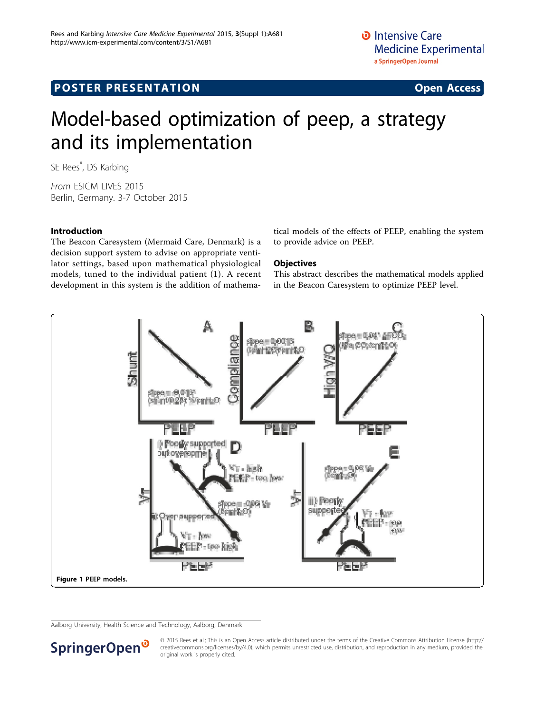### **POSTER PRESENTATION CONSUMING ACCESS**

## Model-based optimization of peep, a strategy and its implementation

SE Rees\* , DS Karbing

From ESICM LIVES 2015 Berlin, Germany. 3-7 October 2015

### Introduction

The Beacon Caresystem (Mermaid Care, Denmark) is a decision support system to advise on appropriate ventilator settings, based upon mathematical physiological models, tuned to the individual patient (1). A recent development in this system is the addition of mathematical models of the effects of PEEP, enabling the system to provide advice on PEEP.

#### **Objectives**

This abstract describes the mathematical models applied in the Beacon Caresystem to optimize PEEP level.



Aalborg University, Health Science and Technology, Aalborg, Denmark



© 2015 Rees et al.; This is an Open Access article distributed under the terms of the Creative Commons Attribution License [\(http://](http://creativecommons.org/licenses/by/4.0) [creativecommons.org/licenses/by/4.0](http://creativecommons.org/licenses/by/4.0)), which permits unrestricted use, distribution, and reproduction in any medium, provided the original work is properly cited.